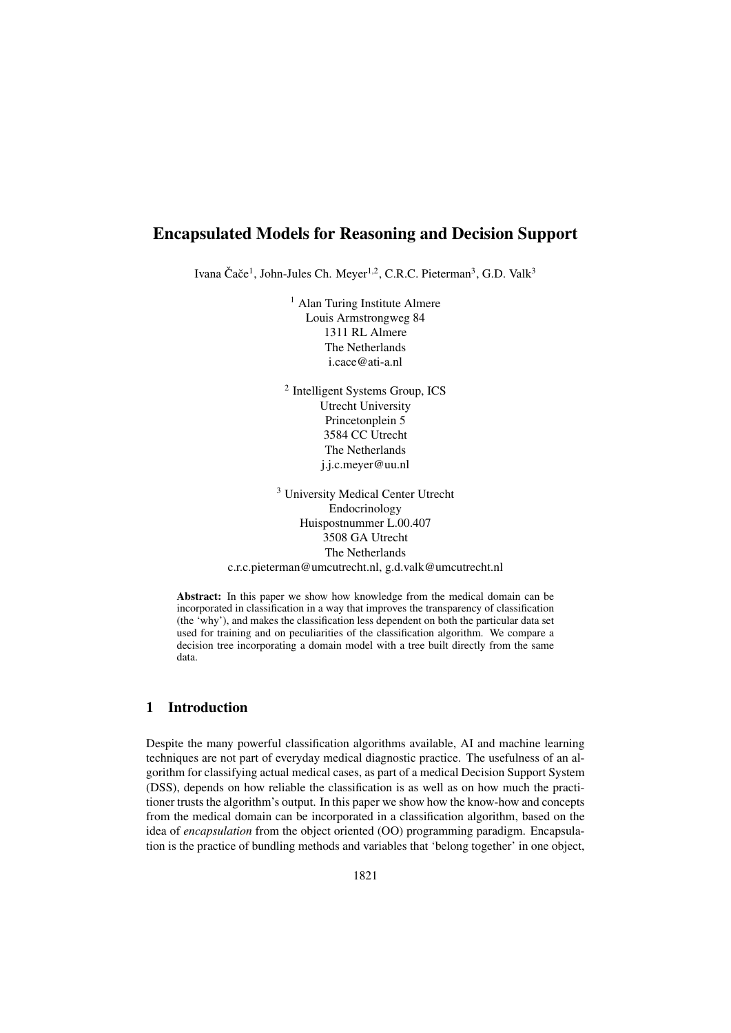# Encapsulated Models for Reasoning and Decision Support

Ivana Čače<sup>1</sup>, John-Jules Ch. Meyer<sup>1,2</sup>, C.R.C. Pieterman<sup>3</sup>, G.D. Valk<sup>3</sup>

<sup>1</sup> Alan Turing Institute Almere Louis Armstrongweg 84 1311 RL Almere The Netherlands i.cace@ati-a.nl

<sup>2</sup> Intelligent Systems Group, ICS Utrecht University Princetonplein 5 3584 CC Utrecht The Netherlands j.j.c.meyer@uu.nl

<sup>3</sup> University Medical Center Utrecht Endocrinology Huispostnummer L.00.407 3508 GA Utrecht The Netherlands c.r.c.pieterman@umcutrecht.nl, g.d.valk@umcutrecht.nl

Abstract: In this paper we show how knowledge from the medical domain can be incorporated in classification in a way that improves the transparency of classification (the 'why'), and makes the classification less dependent on both the particular data set used for training and on peculiarities of the classification algorithm. We compare a decision tree incorporating a domain model with a tree built directly from the same data.

### 1 Introduction

Despite the many powerful classification algorithms available, AI and machine learning techniques are not part of everyday medical diagnostic practice. The usefulness of an algorithm for classifying actual medical cases, as part of a medical Decision Support System (DSS), depends on how reliable the classification is as well as on how much the practitioner trusts the algorithm's output. In this paper we show how the know-how and concepts from the medical domain can be incorporated in a classification algorithm, based on the idea of *encapsulation* from the object oriented (OO) programming paradigm. Encapsulation is the practice of bundling methods and variables that 'belong together' in one object,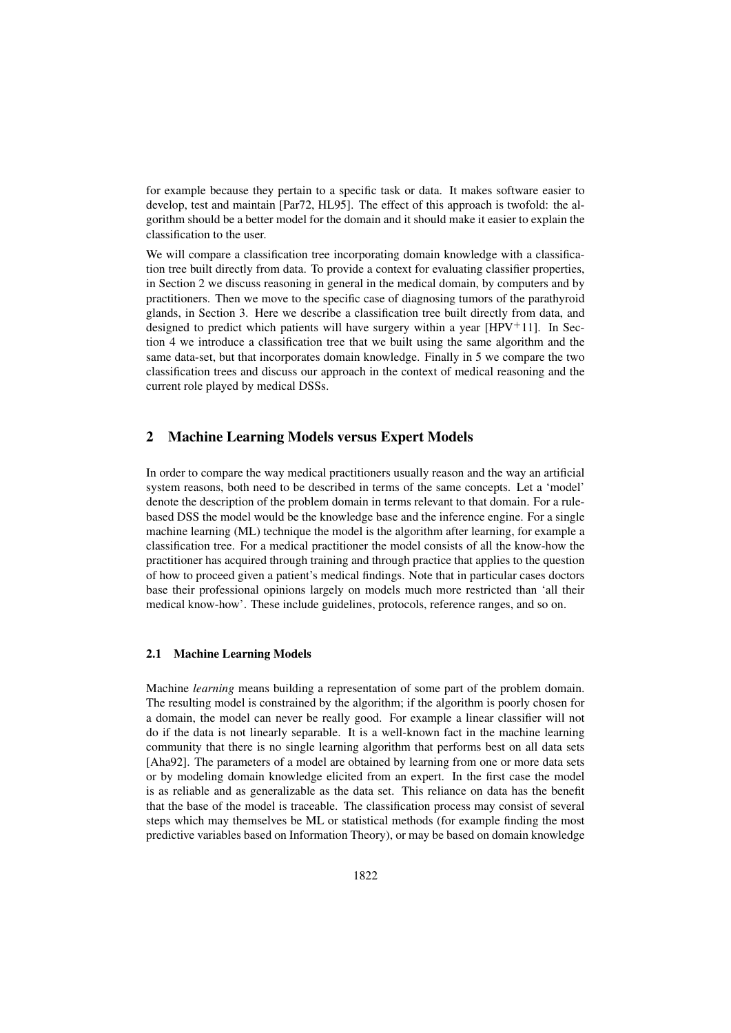for example because they pertain to a specific task or data. It makes software easier to develop, test and maintain [Par72, HL95]. The effect of this approach is twofold: the algorithm should be a better model for the domain and it should make it easier to explain the classification to the user.

We will compare a classification tree incorporating domain knowledge with a classification tree built directly from data. To provide a context for evaluating classifier properties, in Section 2 we discuss reasoning in general in the medical domain, by computers and by practitioners. Then we move to the specific case of diagnosing tumors of the parathyroid glands, in Section 3. Here we describe a classification tree built directly from data, and designed to predict which patients will have surgery within a year  $[HPV<sup>+</sup>11]$ . In Section 4 we introduce a classification tree that we built using the same algorithm and the same data-set, but that incorporates domain knowledge. Finally in 5 we compare the two classification trees and discuss our approach in the context of medical reasoning and the current role played by medical DSSs.

# 2 Machine Learning Models versus Expert Models

In order to compare the way medical practitioners usually reason and the way an artificial system reasons, both need to be described in terms of the same concepts. Let a 'model' denote the description of the problem domain in terms relevant to that domain. For a rulebased DSS the model would be the knowledge base and the inference engine. For a single machine learning (ML) technique the model is the algorithm after learning, for example a classification tree. For a medical practitioner the model consists of all the know-how the practitioner has acquired through training and through practice that applies to the question of how to proceed given a patient's medical findings. Note that in particular cases doctors base their professional opinions largely on models much more restricted than 'all their medical know-how'. These include guidelines, protocols, reference ranges, and so on.

### 2.1 Machine Learning Models

Machine *learning* means building a representation of some part of the problem domain. The resulting model is constrained by the algorithm; if the algorithm is poorly chosen for a domain, the model can never be really good. For example a linear classifier will not do if the data is not linearly separable. It is a well-known fact in the machine learning community that there is no single learning algorithm that performs best on all data sets [Aha92]. The parameters of a model are obtained by learning from one or more data sets or by modeling domain knowledge elicited from an expert. In the first case the model is as reliable and as generalizable as the data set. This reliance on data has the benefit that the base of the model is traceable. The classification process may consist of several steps which may themselves be ML or statistical methods (for example finding the most predictive variables based on Information Theory), or may be based on domain knowledge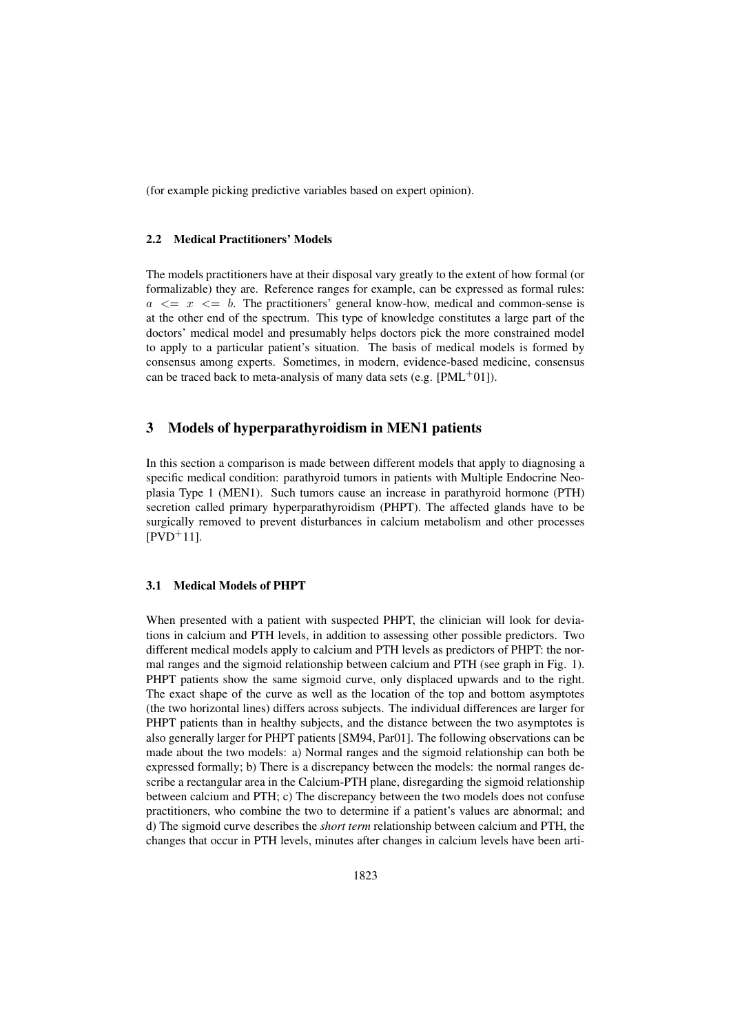(for example picking predictive variables based on expert opinion).

#### 2.2 Medical Practitioners' Models

The models practitioners have at their disposal vary greatly to the extent of how formal (or formalizable) they are. Reference ranges for example, can be expressed as formal rules:  $a \leq x \leq b$ . The practitioners' general know-how, medical and common-sense is at the other end of the spectrum. This type of knowledge constitutes a large part of the doctors' medical model and presumably helps doctors pick the more constrained model to apply to a particular patient's situation. The basis of medical models is formed by consensus among experts. Sometimes, in modern, evidence-based medicine, consensus can be traced back to meta-analysis of many data sets (e.g.  $[PML^+01]$ ).

### 3 Models of hyperparathyroidism in MEN1 patients

In this section a comparison is made between different models that apply to diagnosing a specific medical condition: parathyroid tumors in patients with Multiple Endocrine Neoplasia Type 1 (MEN1). Such tumors cause an increase in parathyroid hormone (PTH) secretion called primary hyperparathyroidism (PHPT). The affected glands have to be surgically removed to prevent disturbances in calcium metabolism and other processes  $[PVD+11]$ .

### 3.1 Medical Models of PHPT

When presented with a patient with suspected PHPT, the clinician will look for deviations in calcium and PTH levels, in addition to assessing other possible predictors. Two different medical models apply to calcium and PTH levels as predictors of PHPT: the normal ranges and the sigmoid relationship between calcium and PTH (see graph in Fig. 1). PHPT patients show the same sigmoid curve, only displaced upwards and to the right. The exact shape of the curve as well as the location of the top and bottom asymptotes (the two horizontal lines) differs across subjects. The individual differences are larger for PHPT patients than in healthy subjects, and the distance between the two asymptotes is also generally larger for PHPT patients [SM94, Par01]. The following observations can be made about the two models: a) Normal ranges and the sigmoid relationship can both be expressed formally; b) There is a discrepancy between the models: the normal ranges describe a rectangular area in the Calcium-PTH plane, disregarding the sigmoid relationship between calcium and PTH; c) The discrepancy between the two models does not confuse practitioners, who combine the two to determine if a patient's values are abnormal; and d) The sigmoid curve describes the *short term* relationship between calcium and PTH, the changes that occur in PTH levels, minutes after changes in calcium levels have been arti-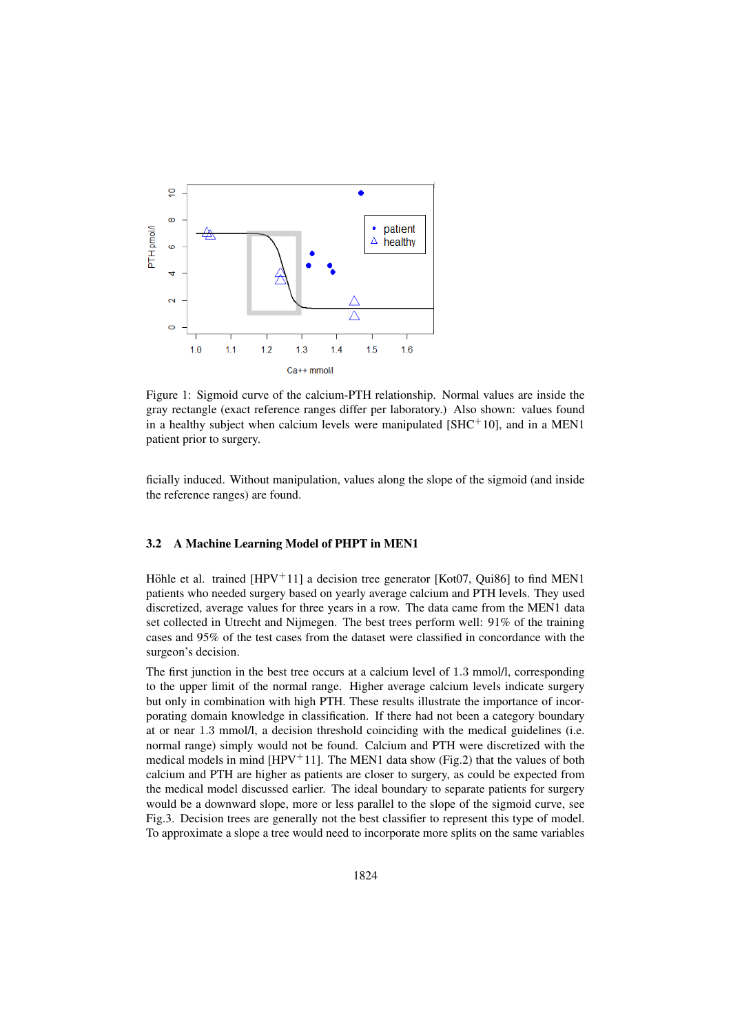

Figure 1: Sigmoid curve of the calcium-PTH relationship. Normal values are inside the gray rectangle (exact reference ranges differ per laboratory.) Also shown: values found in a healthy subject when calcium levels were manipulated  $[SHC+10]$ , and in a MEN1 patient prior to surgery.

ficially induced. Without manipulation, values along the slope of the sigmoid (and inside the reference ranges) are found.

### 3.2 A Machine Learning Model of PHPT in MEN1

Höhle et al. trained [HPV $+11$ ] a decision tree generator [Kot07, Qui86] to find MEN1 patients who needed surgery based on yearly average calcium and PTH levels. They used discretized, average values for three years in a row. The data came from the MEN1 data set collected in Utrecht and Nijmegen. The best trees perform well: 91% of the training cases and 95% of the test cases from the dataset were classified in concordance with the surgeon's decision.

The first junction in the best tree occurs at a calcium level of 1.3 mmol/l, corresponding to the upper limit of the normal range. Higher average calcium levels indicate surgery but only in combination with high PTH. These results illustrate the importance of incorporating domain knowledge in classification. If there had not been a category boundary at or near 1.3 mmol/l, a decision threshold coinciding with the medical guidelines (i.e. normal range) simply would not be found. Calcium and PTH were discretized with the medical models in mind [HPV<sup>+</sup>11]. The MEN1 data show (Fig.2) that the values of both calcium and PTH are higher as patients are closer to surgery, as could be expected from the medical model discussed earlier. The ideal boundary to separate patients for surgery would be a downward slope, more or less parallel to the slope of the sigmoid curve, see Fig.3. Decision trees are generally not the best classifier to represent this type of model. To approximate a slope a tree would need to incorporate more splits on the same variables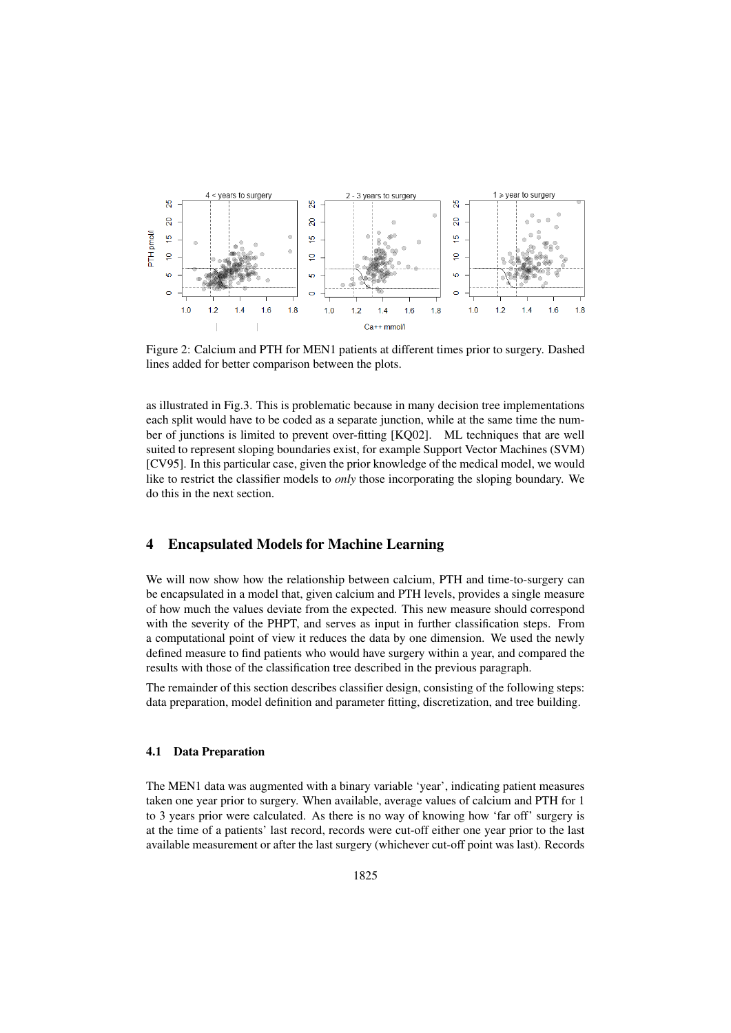

Figure 2: Calcium and PTH for MEN1 patients at different times prior to surgery. Dashed lines added for better comparison between the plots.

as illustrated in Fig.3. This is problematic because in many decision tree implementations each split would have to be coded as a separate junction, while at the same time the number of junctions is limited to prevent over-fitting [KQ02]. ML techniques that are well suited to represent sloping boundaries exist, for example Support Vector Machines (SVM) [CV95]. In this particular case, given the prior knowledge of the medical model, we would like to restrict the classifier models to *only* those incorporating the sloping boundary. We do this in the next section.

### 4 Encapsulated Models for Machine Learning

We will now show how the relationship between calcium, PTH and time-to-surgery can be encapsulated in a model that, given calcium and PTH levels, provides a single measure of how much the values deviate from the expected. This new measure should correspond with the severity of the PHPT, and serves as input in further classification steps. From a computational point of view it reduces the data by one dimension. We used the newly defined measure to find patients who would have surgery within a year, and compared the results with those of the classification tree described in the previous paragraph.

The remainder of this section describes classifier design, consisting of the following steps: data preparation, model definition and parameter fitting, discretization, and tree building.

#### 4.1 Data Preparation

The MEN1 data was augmented with a binary variable 'year', indicating patient measures taken one year prior to surgery. When available, average values of calcium and PTH for 1 to 3 years prior were calculated. As there is no way of knowing how 'far off' surgery is at the time of a patients' last record, records were cut-off either one year prior to the last available measurement or after the last surgery (whichever cut-off point was last). Records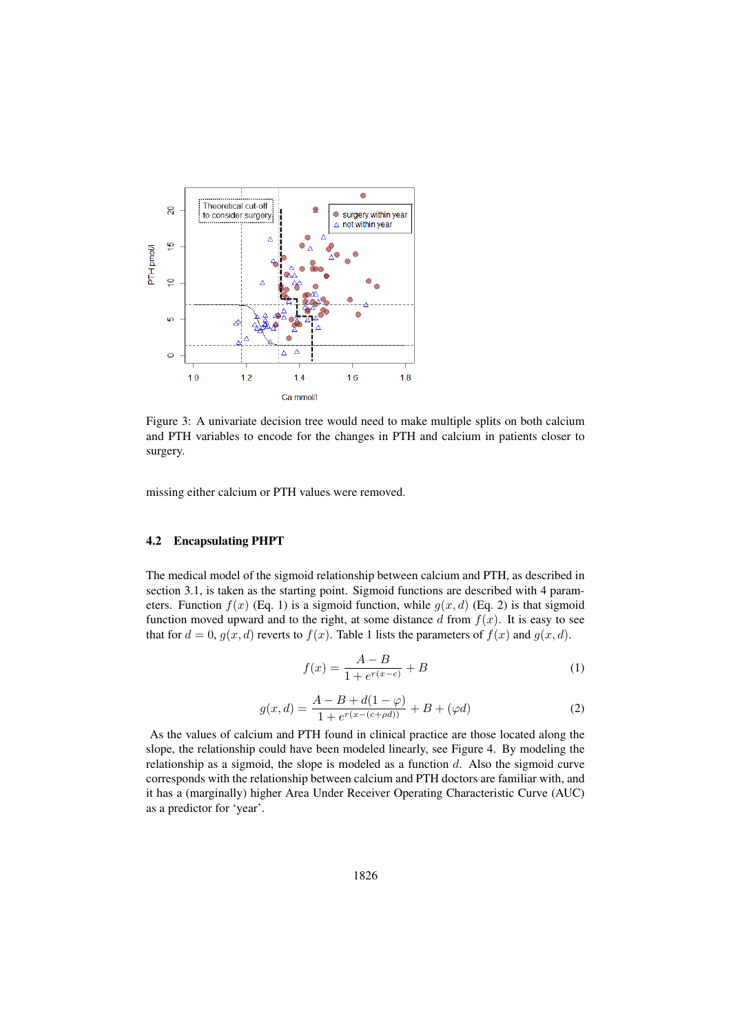

Figure 3: A univariate decision tree would need to make multiple splits on both calcium and PTH variables to encode for the changes in PTH and calcium in patients closer to surgery.

missing either calcium or PTH values were removed.

#### 4.2 Encapsulating PHPT

The medical model of the sigmoid relationship between calcium and PTH, as described in section 3.1, is taken as the starting point. Sigmoid functions are described with 4 parameters. Function  $f(x)$  (Eq. 1) is a sigmoid function, while  $g(x, d)$  (Eq. 2) is that sigmoid function moved upward and to the right, at some distance d from  $f(x)$ . It is easy to see that for  $d = 0$ ,  $g(x, d)$  reverts to  $f(x)$ . Table 1 lists the parameters of  $f(x)$  and  $g(x, d)$ .

$$
f(x) = \frac{A - B}{1 + e^{r(x - c)}} + B
$$
 (1)

$$
g(x,d) = \frac{A - B + d(1 - \varphi)}{1 + e^{r(x - (c + \rho d))}} + B + (\varphi d)
$$
 (2)

As the values of calcium and PTH found in clinical practice are those located along the slope, the relationship could have been modeled linearly, see Figure 4. By modeling the relationship as a sigmoid, the slope is modeled as a function  $d$ . Also the sigmoid curve corresponds with the relationship between calcium and PTH doctors are familiar with, and it has a (marginally) higher Area Under Receiver Operating Characteristic Curve (AUC) as a predictor for 'year'.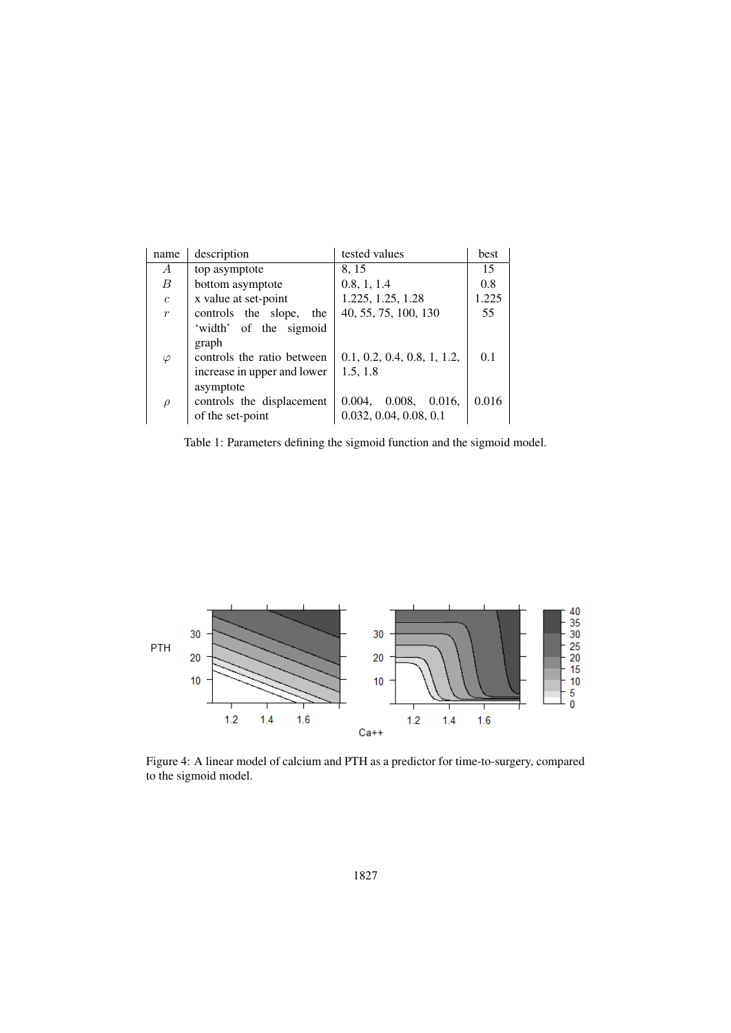| name             | description                 | tested values               | best  |
|------------------|-----------------------------|-----------------------------|-------|
| А                | top asymptote               | 8, 15                       | 15    |
| $\boldsymbol{B}$ | bottom asymptote            | 0.8, 1, 1.4                 | 0.8   |
| $\overline{c}$   | x value at set-point        | 1.225, 1.25, 1.28           | 1.225 |
| $\overline{r}$   | controls the slope,<br>the  | 40, 55, 75, 100, 130        | 55    |
|                  | 'width' of the sigmoid      |                             |       |
|                  | graph                       |                             |       |
| $\varphi$        | controls the ratio between  | 0.1, 0.2, 0.4, 0.8, 1, 1.2, | 0.1   |
|                  | increase in upper and lower | 1.5, 1.8                    |       |
|                  | asymptote                   |                             |       |
| $\rho$           | controls the displacement   | 0.008,<br>0.004,<br>0.016.  | 0.016 |
|                  | of the set-point            | 0.032, 0.04, 0.08, 0.1      |       |

Table 1: Parameters defining the sigmoid function and the sigmoid model.



Figure 4: A linear model of calcium and PTH as a predictor for time-to-surgery, compared to the sigmoid model.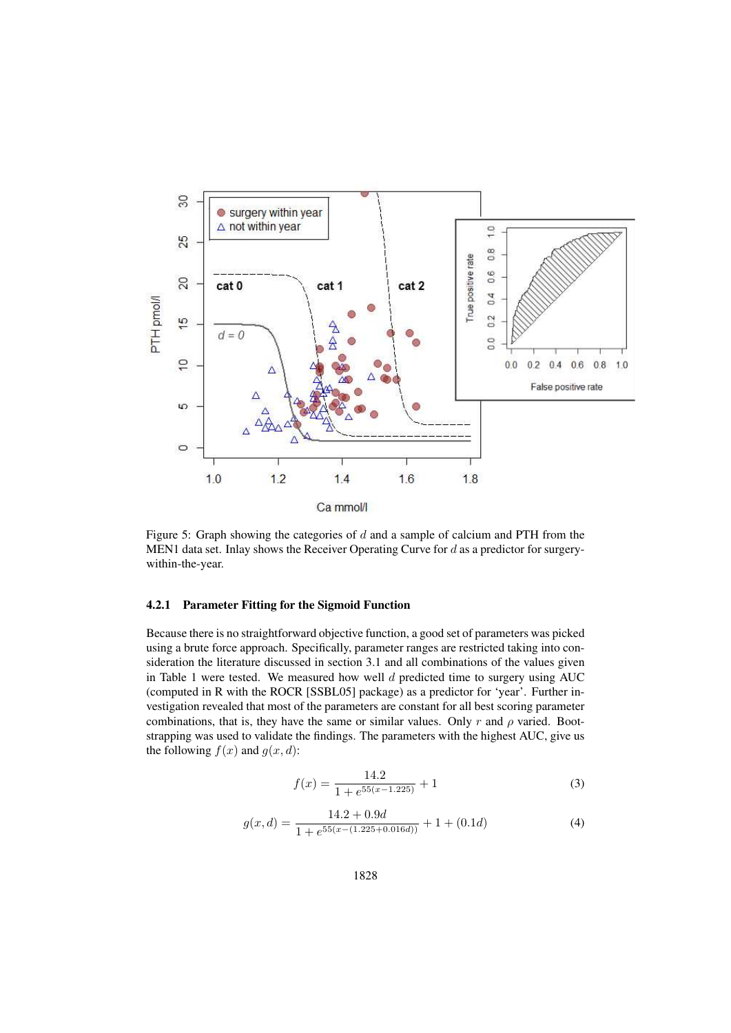

Figure 5: Graph showing the categories of d and a sample of calcium and PTH from the MEN1 data set. Inlay shows the Receiver Operating Curve for d as a predictor for surgerywithin-the-year.

#### 4.2.1 Parameter Fitting for the Sigmoid Function

Because there is no straightforward objective function, a good set of parameters was picked using a brute force approach. Specifically, parameter ranges are restricted taking into consideration the literature discussed in section 3.1 and all combinations of the values given in Table 1 were tested. We measured how well  $d$  predicted time to surgery using AUC (computed in R with the ROCR [SSBL05] package) as a predictor for 'year'. Further investigation revealed that most of the parameters are constant for all best scoring parameter combinations, that is, they have the same or similar values. Only r and  $\rho$  varied. Bootstrapping was used to validate the findings. The parameters with the highest AUC, give us the following  $f(x)$  and  $g(x, d)$ :

$$
f(x) = \frac{14.2}{1 + e^{55(x - 1.225)}} + 1\tag{3}
$$

$$
g(x,d) = \frac{14.2 + 0.9d}{1 + e^{55(x - (1.225 + 0.016d))}} + 1 + (0.1d)
$$
\n(4)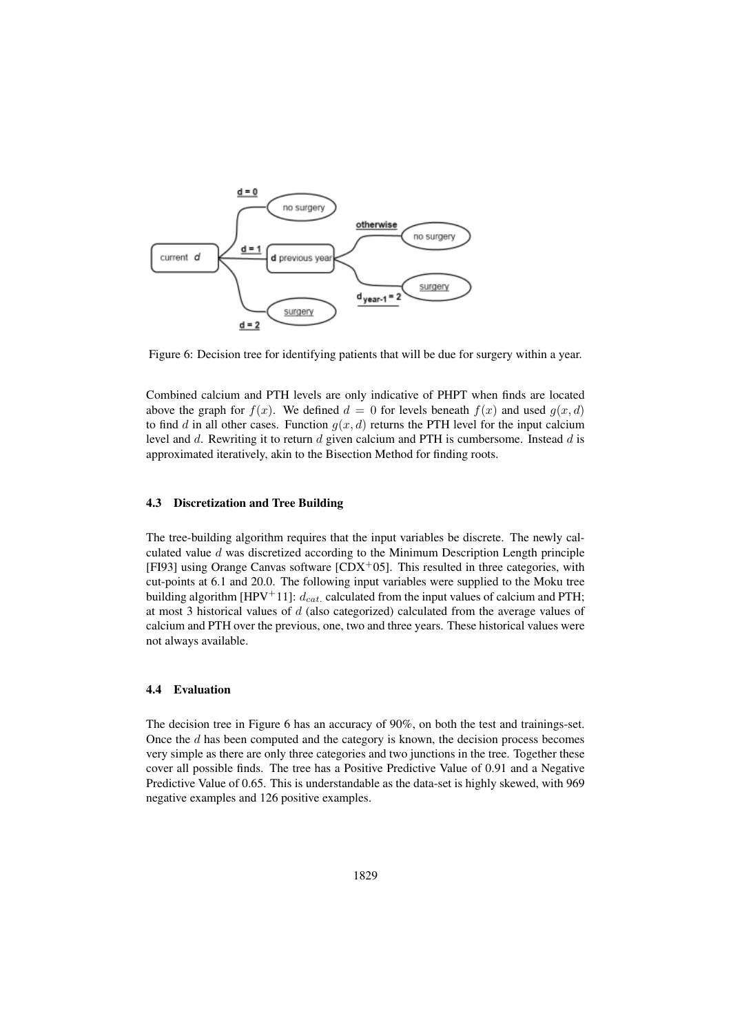

Figure 6: Decision tree for identifying patients that will be due for surgery within a year.

Combined calcium and PTH levels are only indicative of PHPT when finds are located above the graph for  $f(x)$ . We defined  $d = 0$  for levels beneath  $f(x)$  and used  $q(x, d)$ to find d in all other cases. Function  $g(x, d)$  returns the PTH level for the input calcium level and  $d$ . Rewriting it to return  $d$  given calcium and PTH is cumbersome. Instead  $d$  is approximated iteratively, akin to the Bisection Method for finding roots.

#### 4.3 Discretization and Tree Building

The tree-building algorithm requires that the input variables be discrete. The newly calculated value  $d$  was discretized according to the Minimum Description Length principle [FI93] using Orange Canvas software  $[CDX<sup>+</sup>05]$ . This resulted in three categories, with cut-points at 6.1 and 20.0. The following input variables were supplied to the Moku tree building algorithm [HPV<sup>+</sup>11]:  $d_{cat.}$  calculated from the input values of calcium and PTH; at most 3 historical values of  $d$  (also categorized) calculated from the average values of calcium and PTH over the previous, one, two and three years. These historical values were not always available.

#### 4.4 Evaluation

The decision tree in Figure 6 has an accuracy of 90%, on both the test and trainings-set. Once the  $d$  has been computed and the category is known, the decision process becomes very simple as there are only three categories and two junctions in the tree. Together these cover all possible finds. The tree has a Positive Predictive Value of 0.91 and a Negative Predictive Value of 0.65. This is understandable as the data-set is highly skewed, with 969 negative examples and 126 positive examples.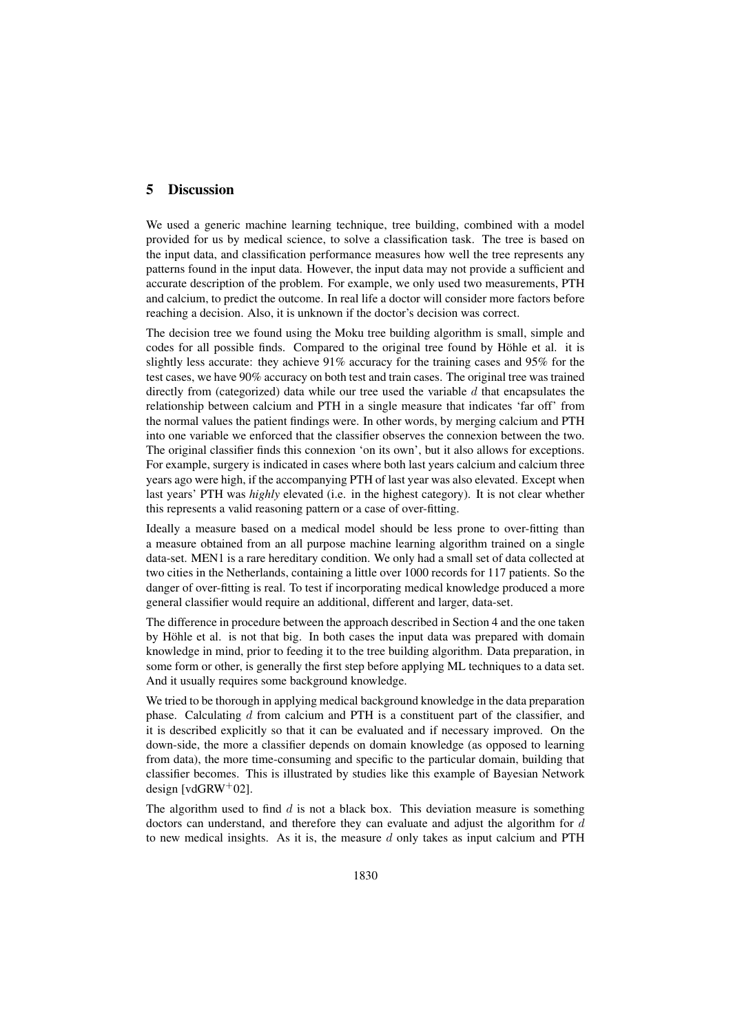# 5 Discussion

We used a generic machine learning technique, tree building, combined with a model provided for us by medical science, to solve a classification task. The tree is based on the input data, and classification performance measures how well the tree represents any patterns found in the input data. However, the input data may not provide a sufficient and accurate description of the problem. For example, we only used two measurements, PTH and calcium, to predict the outcome. In real life a doctor will consider more factors before reaching a decision. Also, it is unknown if the doctor's decision was correct.

The decision tree we found using the Moku tree building algorithm is small, simple and codes for all possible finds. Compared to the original tree found by Höhle et al. it is slightly less accurate: they achieve  $91\%$  accuracy for the training cases and  $95\%$  for the test cases, we have 90% accuracy on both test and train cases. The original tree was trained directly from (categorized) data while our tree used the variable  $d$  that encapsulates the relationship between calcium and PTH in a single measure that indicates 'far off' from the normal values the patient findings were. In other words, by merging calcium and PTH into one variable we enforced that the classifier observes the connexion between the two. The original classifier finds this connexion 'on its own', but it also allows for exceptions. For example, surgery is indicated in cases where both last years calcium and calcium three years ago were high, if the accompanying PTH of last year was also elevated. Except when last years' PTH was *highly* elevated (i.e. in the highest category). It is not clear whether this represents a valid reasoning pattern or a case of over-fitting.

Ideally a measure based on a medical model should be less prone to over-fitting than a measure obtained from an all purpose machine learning algorithm trained on a single data-set. MEN1 is a rare hereditary condition. We only had a small set of data collected at two cities in the Netherlands, containing a little over 1000 records for 117 patients. So the danger of over-fitting is real. To test if incorporating medical knowledge produced a more general classifier would require an additional, different and larger, data-set.

The difference in procedure between the approach described in Section 4 and the one taken by Höhle et al. is not that big. In both cases the input data was prepared with domain knowledge in mind, prior to feeding it to the tree building algorithm. Data preparation, in some form or other, is generally the first step before applying ML techniques to a data set. And it usually requires some background knowledge.

We tried to be thorough in applying medical background knowledge in the data preparation phase. Calculating  $d$  from calcium and PTH is a constituent part of the classifier, and it is described explicitly so that it can be evaluated and if necessary improved. On the down-side, the more a classifier depends on domain knowledge (as opposed to learning from data), the more time-consuming and specific to the particular domain, building that classifier becomes. This is illustrated by studies like this example of Bayesian Network design [vdGRW $+02$ ].

The algorithm used to find  $d$  is not a black box. This deviation measure is something doctors can understand, and therefore they can evaluate and adjust the algorithm for  $d$ to new medical insights. As it is, the measure  $d$  only takes as input calcium and PTH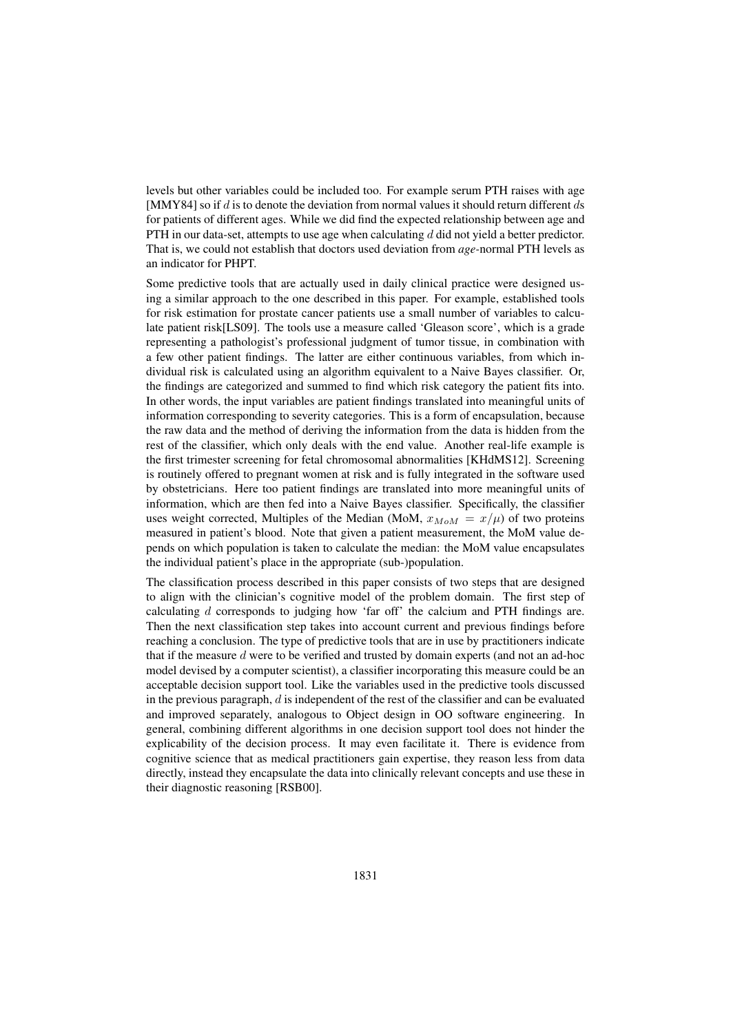levels but other variables could be included too. For example serum PTH raises with age [MMY84] so if  $d$  is to denote the deviation from normal values it should return different  $ds$ for patients of different ages. While we did find the expected relationship between age and PTH in our data-set, attempts to use age when calculating  $d$  did not yield a better predictor. That is, we could not establish that doctors used deviation from *age-*normal PTH levels as an indicator for PHPT.

Some predictive tools that are actually used in daily clinical practice were designed using a similar approach to the one described in this paper. For example, established tools for risk estimation for prostate cancer patients use a small number of variables to calculate patient risk[LS09]. The tools use a measure called 'Gleason score', which is a grade representing a pathologist's professional judgment of tumor tissue, in combination with a few other patient findings. The latter are either continuous variables, from which individual risk is calculated using an algorithm equivalent to a Naive Bayes classifier. Or, the findings are categorized and summed to find which risk category the patient fits into. In other words, the input variables are patient findings translated into meaningful units of information corresponding to severity categories. This is a form of encapsulation, because the raw data and the method of deriving the information from the data is hidden from the rest of the classifier, which only deals with the end value. Another real-life example is the first trimester screening for fetal chromosomal abnormalities [KHdMS12]. Screening is routinely offered to pregnant women at risk and is fully integrated in the software used by obstetricians. Here too patient findings are translated into more meaningful units of information, which are then fed into a Naive Bayes classifier. Specifically, the classifier uses weight corrected, Multiples of the Median (MoM,  $x_{M \circ M} = x/\mu$ ) of two proteins measured in patient's blood. Note that given a patient measurement, the MoM value depends on which population is taken to calculate the median: the MoM value encapsulates the individual patient's place in the appropriate (sub-)population.

The classification process described in this paper consists of two steps that are designed to align with the clinician's cognitive model of the problem domain. The first step of calculating d corresponds to judging how 'far off' the calcium and PTH findings are. Then the next classification step takes into account current and previous findings before reaching a conclusion. The type of predictive tools that are in use by practitioners indicate that if the measure  $d$  were to be verified and trusted by domain experts (and not an ad-hoc model devised by a computer scientist), a classifier incorporating this measure could be an acceptable decision support tool. Like the variables used in the predictive tools discussed in the previous paragraph,  $d$  is independent of the rest of the classifier and can be evaluated and improved separately, analogous to Object design in OO software engineering. In general, combining different algorithms in one decision support tool does not hinder the explicability of the decision process. It may even facilitate it. There is evidence from cognitive science that as medical practitioners gain expertise, they reason less from data directly, instead they encapsulate the data into clinically relevant concepts and use these in their diagnostic reasoning [RSB00].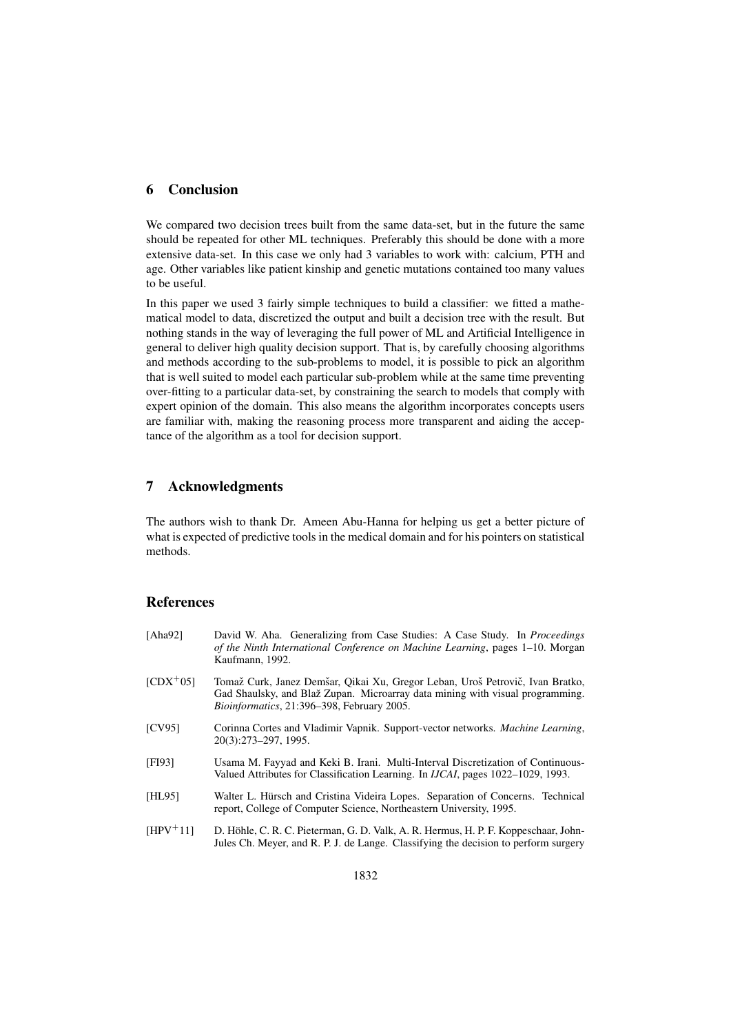### 6 Conclusion

We compared two decision trees built from the same data-set, but in the future the same should be repeated for other ML techniques. Preferably this should be done with a more extensive data-set. In this case we only had 3 variables to work with: calcium, PTH and age. Other variables like patient kinship and genetic mutations contained too many values to be useful.

In this paper we used 3 fairly simple techniques to build a classifier: we fitted a mathematical model to data, discretized the output and built a decision tree with the result. But nothing stands in the way of leveraging the full power of ML and Artificial Intelligence in general to deliver high quality decision support. That is, by carefully choosing algorithms and methods according to the sub-problems to model, it is possible to pick an algorithm that is well suited to model each particular sub-problem while at the same time preventing over-fitting to a particular data-set, by constraining the search to models that comply with expert opinion of the domain. This also means the algorithm incorporates concepts users are familiar with, making the reasoning process more transparent and aiding the acceptance of the algorithm as a tool for decision support.

### 7 Acknowledgments

The authors wish to thank Dr. Ameen Abu-Hanna for helping us get a better picture of what is expected of predictive tools in the medical domain and for his pointers on statistical methods.

# References

| [Aha92]       | David W. Aha. Generalizing from Case Studies: A Case Study. In Proceedings<br>of the Ninth International Conference on Machine Learning, pages 1–10. Morgan<br>Kaufmann, 1992.                               |  |
|---------------|--------------------------------------------------------------------------------------------------------------------------------------------------------------------------------------------------------------|--|
| $[CDX^+05]$   | Tomaž Curk, Janez Demšar, Oikai Xu, Gregor Leban, Uroš Petrovič, Ivan Bratko,<br>Gad Shaulsky, and Blaž Zupan. Microarray data mining with visual programming.<br>Bioinformatics, 21:396-398, February 2005. |  |
| <b>[CV95]</b> | Corinna Cortes and Vladimir Vapnik. Support-vector networks. <i>Machine Learning</i> ,<br>20(3):273-297, 1995.                                                                                               |  |
| [FI93]        | Usama M. Fayyad and Keki B. Irani. Multi-Interval Discretization of Continuous-<br>Valued Attributes for Classification Learning. In <i>IJCAI</i> , pages 1022–1029, 1993.                                   |  |
| [HL95]        | Walter L. Hürsch and Cristina Videira Lopes. Separation of Concerns. Technical<br>report, College of Computer Science, Northeastern University, 1995.                                                        |  |
| $[HPV^+11]$   | D. Höhle, C. R. C. Pieterman, G. D. Valk, A. R. Hermus, H. P. F. Koppeschaar, John-<br>Jules Ch. Meyer, and R. P. J. de Lange. Classifying the decision to perform surgery                                   |  |